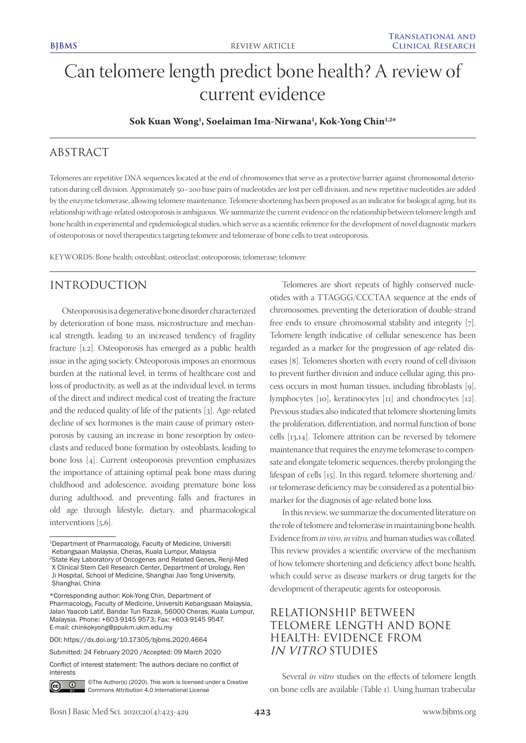# Can telomere length predict bone health? A review of current evidence

#### **Sok Kuan Wong1 , Soelaiman Ima-Nirwana1 , Kok-Yong Chin1,2\***

# ABSTRACT

Telomeres are repetitive DNA sequences located at the end of chromosomes that serve as a protective barrier against chromosomal deterioration during cell division. Approximately 50–200 base pairs of nucleotides are lost per cell division, and new repetitive nucleotides are added by the enzyme telomerase, allowing telomere maintenance. Telomere shortening has been proposed as an indicator for biological aging, but its relationship with age-related osteoporosis is ambiguous. We summarize the current evidence on the relationship between telomere length and bone health in experimental and epidemiological studies, which serve as a scientific reference for the development of novel diagnostic markers of osteoporosis or novel therapeutics targeting telomere and telomerase of bone cells to treat osteoporosis.

KEYWORDS: Bone health; osteoblast; osteoclast; osteoporosis; telomerase; telomere

# INTRODUCTION

Osteoporosis is a degenerative bone disorder characterized by deterioration of bone mass, microstructure and mechanical strength, leading to an increased tendency of fragility fracture [1,2]. Osteoporosis has emerged as a public health issue in the aging society. Osteoporosis imposes an enormous burden at the national level, in terms of healthcare cost and loss of productivity, as well as at the individual level, in terms of the direct and indirect medical cost of treating the fracture and the reduced quality of life of the patients [3]. Age-related decline of sex hormones is the main cause of primary osteoporosis by causing an increase in bone resorption by osteoclasts and reduced bone formation by osteoblasts, leading to bone loss [4]. Current osteoporosis prevention emphasizes the importance of attaining optimal peak bone mass during childhood and adolescence, avoiding premature bone loss during adulthood, and preventing falls and fractures in old age through lifestyle, dietary, and pharmacological interventions [5,6].

Conflict of interest statement: The authors declare no conflict of interests



©The Author(s) (2020). This work is licensed under a Creative Commons Attribution 4.0 International License

Telomeres are short repeats of highly conserved nucleotides with a TTAGGG/CCCTAA sequence at the ends of chromosomes, preventing the deterioration of double-strand free ends to ensure chromosomal stability and integrity [7]. Telomere length indicative of cellular senescence has been regarded as a marker for the progression of age-related diseases [8]. Telomeres shorten with every round of cell division to prevent further division and induce cellular aging; this process occurs in most human tissues, including fibroblasts [9], lymphocytes [10], keratinocytes [11] and chondrocytes [12]. Previous studies also indicated that telomere shortening limits the proliferation, differentiation, and normal function of bone cells [13,14]. Telomere attrition can be reversed by telomere maintenance that requires the enzyme telomerase to compensate and elongate telomeric sequences, thereby prolonging the lifespan of cells [15]. In this regard, telomere shortening and/ or telomerase deficiency may be considered as a potential biomarker for the diagnosis of age-related bone loss.

In this review, we summarize the documented literature on the role of telomere and telomerase in maintaining bone health. Evidence from *in vivo*, *in vitro,* and human studies was collated. This review provides a scientific overview of the mechanism of how telomere shortening and deficiency affect bone health, which could serve as disease markers or drug targets for the development of therapeutic agents for osteoporosis.

# RELATIONSHIP BETWEEN TELOMERE LENGTH AND BONE HEALTH: EVIDENCE FROM IN VITRO STUDIES

Several *in vitro* studies on the effects of telomere length on bone cells are available (Table 1). Using human trabecular

<sup>1</sup>Department of Pharmacology, Faculty of Medicine, Universiti Kebangsaan Malaysia, Cheras, Kuala Lumpur, Malaysia 2State Key Laboratory of Oncogenes and Related Genes, Renji-Med X Clinical Stem Cell Research Center, Department of Urology, Ren Ji Hospital, School of Medicine, Shanghai Jiao Tong University, Shanghai, China

<sup>\*</sup>Corresponding author: Kok-Yong Chin, Department of Pharmacology, Faculty of Medicine, Universiti Kebangsaan Malaysia, Jalan Yaacob Latif, Bandar Tun Razak, 56000 Cheras, Kuala Lumpur, Malaysia. Phone: +603-9145 9573; Fax: +603-9145 9547. E-mail: chinkokyong@ppukm.ukm.edu.my

DOI: https://dx.doi.org/10.17305/bjbms.2020.4664

Submitted: 24 February 2020 /Accepted: 09 March 2020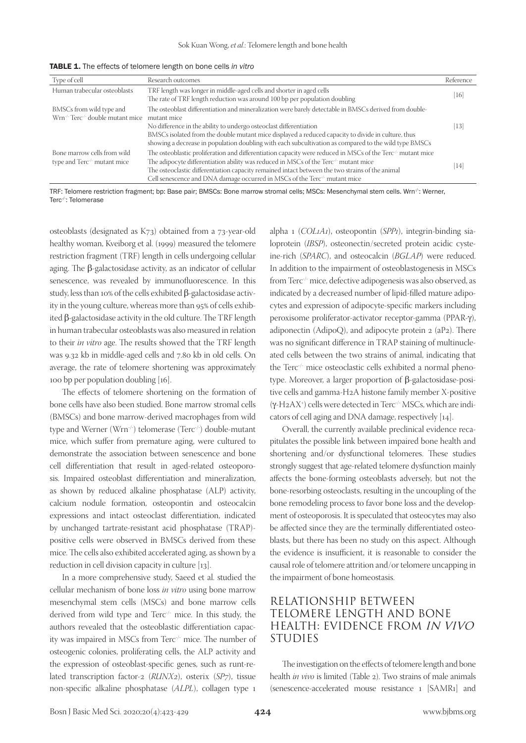| Type of cell                                                                          | Research outcomes                                                                                                                                                                                                                                                                                                                                                                                                | Reference |
|---------------------------------------------------------------------------------------|------------------------------------------------------------------------------------------------------------------------------------------------------------------------------------------------------------------------------------------------------------------------------------------------------------------------------------------------------------------------------------------------------------------|-----------|
| Human trabecular osteoblasts                                                          | TRF length was longer in middle-aged cells and shorter in aged cells<br>The rate of TRF length reduction was around 100 bp per population doubling                                                                                                                                                                                                                                                               | 16        |
| BMSCs from wild type and<br>Wrn <sup>-/-</sup> Terc <sup>-/-</sup> double mutant mice | The osteoblast differentiation and mineralization were barely detectable in BMSCs derived from double-<br>mutant mice<br>No difference in the ability to undergo osteoclast differentiation<br>BMSCs isolated from the double mutant mice displayed a reduced capacity to divide in culture, thus<br>showing a decrease in population doubling with each subcultivation as compared to the wild type BMSCs       | 13        |
| Bone marrow cells from wild<br>type and Terc <sup>-/-</sup> mutant mice               | The osteoblastic proliferation and differentiation capacity were reduced in MSCs of the Terc <sup>-/-</sup> mutant mice<br>The adipocyte differentiation ability was reduced in MSCs of the Terc $\sim$ mutant mice<br>The osteoclastic differentiation capacity remained intact between the two strains of the animal<br>Cell senescence and DNA damage occurred in MSCs of the Terc <sup>-/-</sup> mutant mice | 14        |

TABLE 1. The effects of telomere length on bone cells *in vitro*

TRF: Telomere restriction fragment; bp: Base pair; BMSCs: Bone marrow stromal cells; MSCs: Mesenchymal stem cells. Wrn<sup>-/-</sup>: Werner, Terc<sup>-/-</sup>: Telomerase

osteoblasts (designated as K73) obtained from a 73-year-old healthy woman, Kveiborg et al. (1999) measured the telomere restriction fragment (TRF) length in cells undergoing cellular aging. The β-galactosidase activity, as an indicator of cellular senescence, was revealed by immunofluorescence. In this study, less than 10% of the cells exhibited β-galactosidase activity in the young culture, whereas more than 95% of cells exhibited β-galactosidase activity in the old culture. The TRF length in human trabecular osteoblasts was also measured in relation to their *in vitro* age. The results showed that the TRF length was 9.32 kb in middle-aged cells and 7.80 kb in old cells. On average, the rate of telomere shortening was approximately 100 bp per population doubling [16].

The effects of telomere shortening on the formation of bone cells have also been studied. Bone marrow stromal cells (BMSCs) and bone marrow-derived macrophages from wild type and Werner (Wrn<sup>-/-</sup>) telomerase (Terc<sup>-/-</sup>) double-mutant mice, which suffer from premature aging, were cultured to demonstrate the association between senescence and bone cell differentiation that result in aged-related osteoporosis. Impaired osteoblast differentiation and mineralization, as shown by reduced alkaline phosphatase (ALP) activity, calcium nodule formation, osteopontin and osteocalcin expressions and intact osteoclast differentiation, indicated by unchanged tartrate-resistant acid phosphatase (TRAP) positive cells were observed in BMSCs derived from these mice. The cells also exhibited accelerated aging, as shown by a reduction in cell division capacity in culture [13].

In a more comprehensive study, Saeed et al. studied the cellular mechanism of bone loss *in vitro* using bone marrow mesenchymal stem cells (MSCs) and bone marrow cells derived from wild type and Terc<sup>-/-</sup> mice. In this study, the authors revealed that the osteoblastic differentiation capacity was impaired in MSCs from Terc<sup>-/-</sup> mice. The number of osteogenic colonies, proliferating cells, the ALP activity and the expression of osteoblast-specific genes, such as runt-related transcription factor-2 (*RUNX2*), osterix (*SP7*), tissue non-specific alkaline phosphatase (*ALPL*), collagen type 1

alpha 1 (*COL1A1*), osteopontin (*SPP1*), integrin-binding sialoprotein (*IBSP*), osteonectin/secreted protein acidic cysteine-rich (*SPARC*), and osteocalcin (*BGLAP*) were reduced. In addition to the impairment of osteoblastogenesis in MSCs from Terc<sup>-/-</sup> mice, defective adipogenesis was also observed, as indicated by a decreased number of lipid-filled mature adipocytes and expression of adipocyte-specific markers including peroxisome proliferator-activator receptor-gamma (PPAR-γ), adiponectin (AdipoQ), and adipocyte protein 2 (aP2). There was no significant difference in TRAP staining of multinucleated cells between the two strains of animal, indicating that the Terc<sup>-/-</sup> mice osteoclastic cells exhibited a normal phenotype. Moreover, a larger proportion of β-galactosidase-positive cells and gamma-H2A histone family member X-positive (γ-H2AX+ ) cells were detected in Terc-/- MSCs, which are indicators of cell aging and DNA damage, respectively [14].

Overall, the currently available preclinical evidence recapitulates the possible link between impaired bone health and shortening and/or dysfunctional telomeres. These studies strongly suggest that age-related telomere dysfunction mainly affects the bone-forming osteoblasts adversely, but not the bone-resorbing osteoclasts, resulting in the uncoupling of the bone remodeling process to favor bone loss and the development of osteoporosis. It is speculated that osteocytes may also be affected since they are the terminally differentiated osteoblasts, but there has been no study on this aspect. Although the evidence is insufficient, it is reasonable to consider the causal role of telomere attrition and/or telomere uncapping in the impairment of bone homeostasis.

#### RELATIONSHIP BETWEEN TELOMERE LENGTH AND BONE HEALTH: EVIDENCE FROM IN VIVO STUDIES

The investigation on the effects of telomere length and bone health *in vivo* is limited (Table 2). Two strains of male animals (senescence-accelerated mouse resistance 1 [SAMR1] and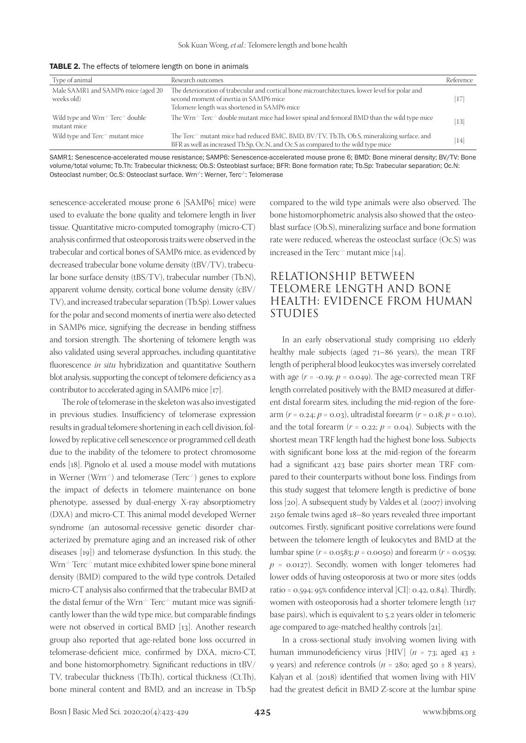| Type of animal                                                             | Research outcomes                                                                                                                                                                           | Reference |
|----------------------------------------------------------------------------|---------------------------------------------------------------------------------------------------------------------------------------------------------------------------------------------|-----------|
| Male SAMR1 and SAMP6 mice (aged 20<br>weeks old)                           | The deterioration of trabecular and cortical bone microarchitectures, lower level for polar and<br>second moment of inertia in SAMP6 mice<br>Telomere length was shortened in SAMP6 mice    | [17]      |
| Wild type and Wrn <sup>-/-</sup> Terc <sup>-/-</sup> double<br>mutant mice | The Wrn <sup>-/-</sup> Terc <sup>-/-</sup> double mutant mice had lower spinal and femoral BMD than the wild type mice                                                                      | $[13]$    |
| Wild type and Terc <sup>-/-</sup> mutant mice                              | The Terc <sup>-/-</sup> mutant mice had reduced BMC, BMD, BV/TV, Tb.Th, Ob.S, mineralizing surface, and<br>BFR as well as increased Tb.Sp, Oc.N, and Oc.S as compared to the wild type mice | $[14]$    |

TABLE 2. The effects of telomere length on bone in animals

SAMR1: Senescence-accelerated mouse resistance; SAMP6: Senescence-accelerated mouse prone 6; BMD: Bone mineral density; BV/TV: Bone volume/total volume; Tb.Th: Trabecular thickness; Ob.S: Osteoblast surface; BFR: Bone formation rate; Tb.Sp: Trabecular separation; Oc.N: Osteoclast number; Oc.S: Osteoclast surface. Wrn<sup>/-</sup>: Werner, Terc<sup>/-</sup>: Telomerase

senescence-accelerated mouse prone 6 [SAMP6] mice) were used to evaluate the bone quality and telomere length in liver tissue. Quantitative micro-computed tomography (micro-CT) analysis confirmed that osteoporosis traits were observed in the trabecular and cortical bones of SAMP6 mice, as evidenced by decreased trabecular bone volume density (tBV/TV), trabecular bone surface density (tBS/TV), trabecular number (Tb.N), apparent volume density, cortical bone volume density (cBV/ TV), and increased trabecular separation (Tb.Sp). Lower values for the polar and second moments of inertia were also detected in SAMP6 mice, signifying the decrease in bending stiffness and torsion strength. The shortening of telomere length was also validated using several approaches, including quantitative fluorescence *in situ* hybridization and quantitative Southern blot analysis, supporting the concept of telomere deficiency as a contributor to accelerated aging in SAMP6 mice [17].

The role of telomerase in the skeleton was also investigated in previous studies. Insufficiency of telomerase expression results in gradual telomere shortening in each cell division, followed by replicative cell senescence or programmed cell death due to the inability of the telomere to protect chromosome ends [18]. Pignolo et al. used a mouse model with mutations in Werner (Wrn<sup>-/-</sup>) and telomerase (Terc<sup>-/-</sup>) genes to explore the impact of defects in telomere maintenance on bone phenotype, assessed by dual-energy X-ray absorptiometry (DXA) and micro-CT. This animal model developed Werner syndrome (an autosomal-recessive genetic disorder characterized by premature aging and an increased risk of other diseases [19]) and telomerase dysfunction. In this study, the Wrn-/- Terc-/- mutant mice exhibited lower spine bone mineral density (BMD) compared to the wild type controls. Detailed micro-CT analysis also confirmed that the trabecular BMD at the distal femur of the Wrn<sup>-/-</sup> Terc<sup>-/-</sup> mutant mice was significantly lower than the wild type mice, but comparable findings were not observed in cortical BMD [13]. Another research group also reported that age-related bone loss occurred in telomerase-deficient mice, confirmed by DXA, micro-CT, and bone histomorphometry. Significant reductions in tBV/ TV, trabecular thickness (Tb.Th), cortical thickness (Ct.Th), bone mineral content and BMD, and an increase in Tb.Sp

compared to the wild type animals were also observed. The bone histomorphometric analysis also showed that the osteoblast surface (Ob.S), mineralizing surface and bone formation rate were reduced, whereas the osteoclast surface (Oc.S) was increased in the Terc<sup> $\pm$ </sup> mutant mice [14].

### RELATIONSHIP BETWEEN TELOMERE LENGTH AND BONE HEALTH: EVIDENCE FROM HUMAN STUDIES

In an early observational study comprising 110 elderly healthy male subjects (aged 71–86 years), the mean TRF length of peripheral blood leukocytes was inversely correlated with age  $(r = -0.19; p = 0.049)$ . The age-corrected mean TRF length correlated positively with the BMD measured at different distal forearm sites, including the mid-region of the forearm (*r* = 0.24; *p* = 0.03), ultradistal forearm (*r* = 0.18; *p* = 0.10), and the total forearm  $(r = 0.22; p = 0.04)$ . Subjects with the shortest mean TRF length had the highest bone loss. Subjects with significant bone loss at the mid-region of the forearm had a significant 423 base pairs shorter mean TRF compared to their counterparts without bone loss. Findings from this study suggest that telomere length is predictive of bone loss [20]. A subsequent study by Valdes et al. (2007) involving 2150 female twins aged 18–80 years revealed three important outcomes. Firstly, significant positive correlations were found between the telomere length of leukocytes and BMD at the lumbar spine (*r* = 0.0583; *p* = 0.0050) and forearm (*r* = 0.0539;  $p = 0.0127$ . Secondly, women with longer telomeres had lower odds of having osteoporosis at two or more sites (odds ratio = 0.594; 95% confidence interval [CI]: 0.42, 0.84). Thirdly, women with osteoporosis had a shorter telomere length (117 base pairs), which is equivalent to 5.2 years older in telomeric age compared to age-matched healthy controls [21].

In a cross-sectional study involving women living with human immunodeficiency virus [HIV] (*n* = 73; aged 43 ± 9 years) and reference controls ( $n = 28$ o; aged 50  $\pm$  8 years), Kalyan et al. (2018) identified that women living with HIV had the greatest deficit in BMD Z-score at the lumbar spine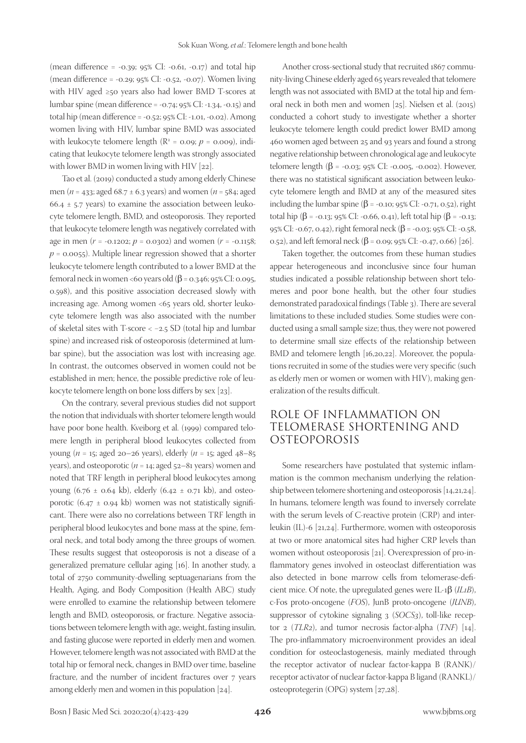(mean difference =  $-0.39$ ;  $95\%$  CI:  $-0.61$ ,  $-0.17$ ) and total hip (mean difference = -0.29; 95% CI: -0.52, -0.07). Women living with HIV aged ≥50 years also had lower BMD T-scores at lumbar spine (mean difference = -0.74; 95% CI: -1.34, -0.15) and total hip (mean difference = -0.52; 95% CI: -1.01, -0.02). Among women living with HIV, lumbar spine BMD was associated with leukocyte telomere length ( $R^2$  = 0.09;  $p$  = 0.009), indicating that leukocyte telomere length was strongly associated with lower BMD in women living with HIV [22].

Tao et al. (2019) conducted a study among elderly Chinese men (*n* = 433; aged 68.7 ± 6.3 years) and women (*n* = 584; aged 66.4  $\pm$  5.7 years) to examine the association between leukocyte telomere length, BMD, and osteoporosis. They reported that leukocyte telomere length was negatively correlated with age in men ( $r = -0.1202$ ;  $p = 0.0302$ ) and women ( $r = -0.1158$ ;  $p = 0.0055$ ). Multiple linear regression showed that a shorter leukocyte telomere length contributed to a lower BMD at the femoral neck in women <60 years old (β = 0.346; 95% CI: 0.095, 0.598), and this positive association decreased slowly with increasing age. Among women <65 years old, shorter leukocyte telomere length was also associated with the number of skeletal sites with T-score < −2.5 SD (total hip and lumbar spine) and increased risk of osteoporosis (determined at lumbar spine), but the association was lost with increasing age. In contrast, the outcomes observed in women could not be established in men; hence, the possible predictive role of leukocyte telomere length on bone loss differs by sex [23].

On the contrary, several previous studies did not support the notion that individuals with shorter telomere length would have poor bone health. Kveiborg et al. (1999) compared telomere length in peripheral blood leukocytes collected from young (*n* = 15; aged 20–26 years), elderly (*n* = 15; aged 48–85 years), and osteoporotic ( $n = 14$ ; aged  $52-81$  years) women and noted that TRF length in peripheral blood leukocytes among young (6.76  $\pm$  0.64 kb), elderly (6.42  $\pm$  0.71 kb), and osteoporotic (6.47  $\pm$  0.94 kb) women was not statistically significant. There were also no correlations between TRF length in peripheral blood leukocytes and bone mass at the spine, femoral neck, and total body among the three groups of women. These results suggest that osteoporosis is not a disease of a generalized premature cellular aging [16]. In another study, a total of 2750 community-dwelling septuagenarians from the Health, Aging, and Body Composition (Health ABC) study were enrolled to examine the relationship between telomere length and BMD, osteoporosis, or fracture. Negative associations between telomere length with age, weight, fasting insulin, and fasting glucose were reported in elderly men and women. However, telomere length was not associated with BMD at the total hip or femoral neck, changes in BMD over time, baseline fracture, and the number of incident fractures over 7 years among elderly men and women in this population [24].

Another cross-sectional study that recruited 1867 community-living Chinese elderly aged 65 years revealed that telomere length was not associated with BMD at the total hip and femoral neck in both men and women [25]. Nielsen et al. (2015) conducted a cohort study to investigate whether a shorter leukocyte telomere length could predict lower BMD among 460 women aged between 25 and 93 years and found a strong negative relationship between chronological age and leukocyte telomere length (β = -0.03; 95% CI: -0.005, -0.002). However, there was no statistical significant association between leukocyte telomere length and BMD at any of the measured sites including the lumbar spine ( $β = -0.10$ ; 95% CI: -0.71, 0.52), right total hip (β = -0.13; 95% CI: -0.66, 0.41), left total hip (β = -0.13; 95% CI: -0.67, 0.42), right femoral neck (β = -0.03; 95% CI: -0.58, 0.52), and left femoral neck (β = 0.09; 95% CI: -0.47, 0.66) [26].

Taken together, the outcomes from these human studies appear heterogeneous and inconclusive since four human studies indicated a possible relationship between short telomeres and poor bone health, but the other four studies demonstrated paradoxical findings (Table 3). There are several limitations to these included studies. Some studies were conducted using a small sample size; thus, they were not powered to determine small size effects of the relationship between BMD and telomere length [16,20,22]. Moreover, the populations recruited in some of the studies were very specific (such as elderly men or women or women with HIV), making generalization of the results difficult.

#### ROLE OF INFLAMMATION ON TELOMERASE SHORTENING AND OSTEOPOROSIS

Some researchers have postulated that systemic inflammation is the common mechanism underlying the relationship between telomere shortening and osteoporosis [14,21,24]. In humans, telomere length was found to inversely correlate with the serum levels of C-reactive protein (CRP) and interleukin (IL)-6 [21,24]. Furthermore, women with osteoporosis at two or more anatomical sites had higher CRP levels than women without osteoporosis [21]. Overexpression of pro-inflammatory genes involved in osteoclast differentiation was also detected in bone marrow cells from telomerase-deficient mice. Of note, the upregulated genes were IL-1β (*IL1B*), c-Fos proto-oncogene (*FOS*), JunB proto-oncogene (*JUNB*), suppressor of cytokine signaling 3 (*SOCS3*), toll-like receptor 2 (*TLR2*), and tumor necrosis factor-alpha (*TNF*) [14]. The pro-inflammatory microenvironment provides an ideal condition for osteoclastogenesis, mainly mediated through the receptor activator of nuclear factor-kappa B (RANK)/ receptor activator of nuclear factor-kappa B ligand (RANKL)/ osteoprotegerin (OPG) system [27,28].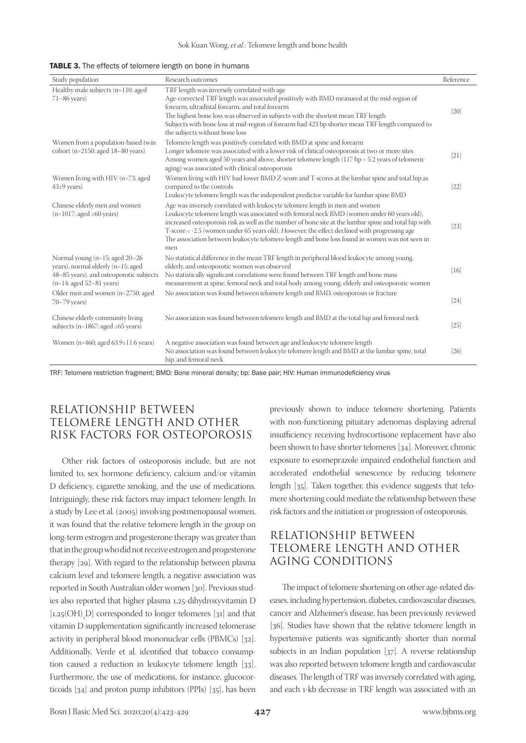| TABLE 3. The effects of telomere length on bone in humans |  |
|-----------------------------------------------------------|--|
|-----------------------------------------------------------|--|

| Study population                                                                                                                              | Research outcomes                                                                                                                                                                                                                                                                                                                                                                                                                                                                            | Reference |
|-----------------------------------------------------------------------------------------------------------------------------------------------|----------------------------------------------------------------------------------------------------------------------------------------------------------------------------------------------------------------------------------------------------------------------------------------------------------------------------------------------------------------------------------------------------------------------------------------------------------------------------------------------|-----------|
| Healthy male subjects (n=110; aged<br>$71-86$ years)                                                                                          | TRF length was inversely correlated with age<br>Age-corrected TRF length was associated positively with BMD measured at the mid-region of<br>forearm, ultradistal forearm, and total forearm<br>The highest bone loss was observed in subjects with the shortest mean TRF length<br>Subjects with bone loss at mid-region of forearm had 423 bp shorter mean TRF length compared to<br>the subjects without bone loss                                                                        | $[20]$    |
| Women from a population-based twin<br>cohort ( $n=2150$ ; aged $18-80$ years)                                                                 | Telomere length was positively correlated with BMD at spine and forearm<br>Longer telomere was associated with a lower risk of clinical osteoporosis at two or more sites<br>Among women aged 50 years and above, shorter telomere length (117 bp = 5.2 years of telomeric<br>aging) was associated with clinical osteoporosis                                                                                                                                                               | $[21]$    |
| Women living with HIV (n=73; aged<br>$43±9$ years)                                                                                            | Women living with HIV had lower BMD Z-score and T-scores at the lumbar spine and total hip as<br>compared to the controls<br>Leukocyte telomere length was the independent predictor variable for lumbar spine BMD                                                                                                                                                                                                                                                                           | $[22]$    |
| Chinese elderly men and women<br>$(n=1017; \text{aged } \geq 60 \text{ years})$                                                               | Age was inversely correlated with leukocyte telomere length in men and women<br>Leukocyte telomere length was associated with femoral neck BMD (women under 60 years old),<br>increased osteoporosis risk as well as the number of bone site at the lumbar spine and total hip with<br>T-score < -2.5 (women under 65 years old). However, the effect declined with progressing age<br>The association between leukocyte telomere length and bone loss found in women was not seen in<br>men | $[23]$    |
| Normal young (n=15; aged 20-26<br>years), normal elderly (n=15; aged<br>48-85 years), and osteoporotic subjects<br>$(n=14; aged 52-81 years)$ | No statistical difference in the mean TRF length in peripheral blood leukocyte among young,<br>elderly, and osteoporotic women was observed<br>No statistically significant correlations were found between TRF length and bone mass<br>measurement at spine, femoral neck and total body among young, elderly and osteoporotic women                                                                                                                                                        | $[16]$    |
| Older men and women (n=2750; aged<br>$70-79$ years)                                                                                           | No association was found between telomere length and BMD, osteoporosis or fracture                                                                                                                                                                                                                                                                                                                                                                                                           | $[24]$    |
| Chinese elderly community living<br>subjects ( $n=1867$ ; aged $\geq 65$ years)                                                               | No association was found between telomere length and BMD at the total hip and femoral neck                                                                                                                                                                                                                                                                                                                                                                                                   | $[25]$    |
| Women (n=460; aged $63.9 \pm 11.6$ years)                                                                                                     | A negative association was found between age and leukocyte telomere length<br>No association was found between leukocyte telomere length and BMD at the lumbar spine, total<br>hip, and femoral neck                                                                                                                                                                                                                                                                                         | $[26]$    |

TRF: Telomere restriction fragment; BMD: Bone mineral density; bp: Base pair; HIV: Human immunodeficiency virus

# RELATIONSHIP BETWEEN TELOMERE LENGTH AND OTHER RISK FACTORS FOR OSTEOPOROSIS

Other risk factors of osteoporosis include, but are not limited to, sex hormone deficiency, calcium and/or vitamin D deficiency, cigarette smoking, and the use of medications. Intriguingly, these risk factors may impact telomere length. In a study by Lee et al. (2005) involving postmenopausal women, it was found that the relative telomere length in the group on long-term estrogen and progesterone therapy was greater than that in the group who did not receive estrogen and progesterone therapy [29]. With regard to the relationship between plasma calcium level and telomere length, a negative association was reported in South Australian older women [30]. Previous studies also reported that higher plasma 1,25-dihydroxyvitamin D  $[1,25(OH)]$  corresponded to longer telomeres  $[31]$  and that vitamin D supplementation significantly increased telomerase activity in peripheral blood mononuclear cells (PBMCs) [32]. Additionally, Verde et al. identified that tobacco consumption caused a reduction in leukocyte telomere length [33]. Furthermore, the use of medications, for instance, glucocorticoids [34] and proton pump inhibitors (PPIs) [35], has been

previously shown to induce telomere shortening. Patients with non-functioning pituitary adenomas displaying adrenal insufficiency receiving hydrocortisone replacement have also been shown to have shorter telomeres [34]. Moreover, chronic exposure to esomeprazole impaired endothelial function and accelerated endothelial senescence by reducing telomere length [35]. Taken together, this evidence suggests that telomere shortening could mediate the relationship between these risk factors and the initiation or progression of osteoporosis.

# RELATIONSHIP BETWEEN TELOMERE LENGTH AND OTHER AGING CONDITIONS

The impact of telomere shortening on other age-related diseases, including hypertension, diabetes, cardiovascular diseases, cancer and Alzheimer's disease, has been previously reviewed [36]. Studies have shown that the relative telomere length in hypertensive patients was significantly shorter than normal subjects in an Indian population [37]. A reverse relationship was also reported between telomere length and cardiovascular diseases. The length of TRF was inversely correlated with aging, and each 1-kb decrease in TRF length was associated with an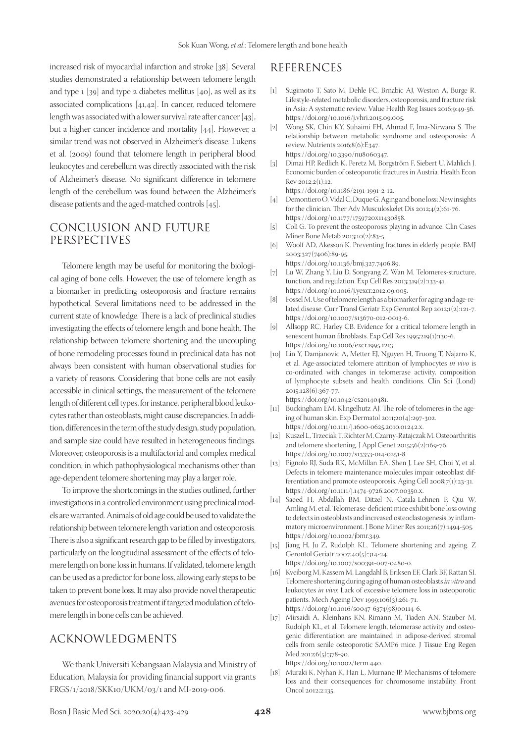increased risk of myocardial infarction and stroke [38]. Several studies demonstrated a relationship between telomere length and type 1 [39] and type 2 diabetes mellitus [40], as well as its associated complications [41,42]. In cancer, reduced telomere length was associated with a lower survival rate after cancer [43], but a higher cancer incidence and mortality [44]. However, a similar trend was not observed in Alzheimer's disease. Lukens et al. (2009) found that telomere length in peripheral blood leukocytes and cerebellum was directly associated with the risk of Alzheimer's disease. No significant difference in telomere length of the cerebellum was found between the Alzheimer's disease patients and the aged-matched controls [45].

#### CONCLUSION AND FUTURE PERSPECTIVES

Telomere length may be useful for monitoring the biological aging of bone cells. However, the use of telomere length as a biomarker in predicting osteoporosis and fracture remains hypothetical. Several limitations need to be addressed in the current state of knowledge. There is a lack of preclinical studies investigating the effects of telomere length and bone health. The relationship between telomere shortening and the uncoupling of bone remodeling processes found in preclinical data has not always been consistent with human observational studies for a variety of reasons. Considering that bone cells are not easily accessible in clinical settings, the measurement of the telomere length of different cell types, for instance, peripheral blood leukocytes rather than osteoblasts, might cause discrepancies. In addition, differences in the term of the study design, study population, and sample size could have resulted in heterogeneous findings. Moreover, osteoporosis is a multifactorial and complex medical condition, in which pathophysiological mechanisms other than age-dependent telomere shortening may play a larger role.

To improve the shortcomings in the studies outlined, further investigations in a controlled environment using preclinical models are warranted. Animals of old age could be used to validate the relationship between telomere length variation and osteoporosis. There is also a significant research gap to be filled by investigators, particularly on the longitudinal assessment of the effects of telomere length on bone loss in humans. If validated, telomere length can be used as a predictor for bone loss, allowing early steps to be taken to prevent bone loss. It may also provide novel therapeutic avenues for osteoporosis treatment if targeted modulation of telomere length in bone cells can be achieved.

#### ACKNOWLEDGMENTS

We thank Universiti Kebangsaan Malaysia and Ministry of Education, Malaysia for providing financial support via grants FRGS/1/2018/SKK10/UKM/03/1 and MI-2019-006.

#### REFERENCES

- [1] Sugimoto T, Sato M, Dehle FC, Brnabic AJ, Weston A, Burge R. Lifestyle-related metabolic disorders, osteoporosis, and fracture risk in Asia: A systematic review. Value Health Reg Issues 2016;9:49-56. https://doi.org/10.1016/j.vhri.2015.09.005.
- [2] Wong SK, Chin KY, Suhaimi FH, Ahmad F, Ima-Nirwana S. The relationship between metabolic syndrome and osteoporosis: A review. Nutrients 2016;8(6):E347. https://doi.org/10.3390/nu8060347.
- [3] Dimai HP, Redlich K, Peretz M, Borgström F, Siebert U, Mahlich J. Economic burden of osteoporotic fractures in Austria. Health Econ Rev 2012;2(1):12. https://doi.org/10.1186/2191-1991-2-12.
- [4] Demontiero O, Vidal C, Duque G. Aging and bone loss: New insights for the clinician. Ther Adv Musculoskelet Dis 2012;4(2):61-76. https://doi.org/10.1177/1759720x11430858.
- [5] Colì G. To prevent the osteoporosis playing in advance. Clin Cases Miner Bone Metab 2013;10(2):83-5.
- [6] Woolf AD, Akesson K. Preventing fractures in elderly people. BMJ 2003;327(7406):89-95.
- https://doi.org/10.1136/bmj.327.7406.89.
- [7] Lu W, Zhang Y, Liu D, Songyang Z, Wan M. Telomeres-structure, function, and regulation. Exp Cell Res 2013;319(2):133-41. https://doi.org/10.1016/j.yexcr.2012.09.005.
- [8] Fossel M. Use of telomere length as a biomarker for aging and age-related disease. Curr Transl Geriatr Exp Gerontol Rep 2012;1(2):121-7. https://doi.org/10.1007/s13670-012-0013-6.
- [9] Allsopp RC, Harley CB. Evidence for a critical telomere length in senescent human fibroblasts. Exp Cell Res 1995;219(1):130-6. https://doi.org/10.1006/excr.1995.1213.
- [10] Lin Y, Damjanovic A, Metter EJ, Nguyen H, Truong T, Najarro K, et al. Age-associated telomere attrition of lymphocytes *in vivo* is co-ordinated with changes in telomerase activity, composition of lymphocyte subsets and health conditions. Clin Sci (Lond) 2015;128(6):367-77. https://doi.org/10.1042/cs20140481.
- [11] Buckingham EM, Klingelhutz AJ. The role of telomeres in the ageing of human skin. Exp Dermatol 2011;20(4):297-302. https://doi.org/10.1111/j.1600-0625.2010.01242.x.
- [12] Kuszel L, Trzeciak T, Richter M, Czarny-Ratajczak M. Osteoarthritis and telomere shortening. J Appl Genet 2015;56(2):169-76. https://doi.org/10.1007/s13353-014-0251-8.
- [13] Pignolo RJ, Suda RK, McMillan EA, Shen J, Lee SH, Choi Y, et al. Defects in telomere maintenance molecules impair osteoblast differentiation and promote osteoporosis. Aging Cell 2008;7(1):23-31. https://doi.org/10.1111/j.1474-9726.2007.00350.x.
- [14] Saeed H, Abdallah BM, Ditzel N, Catala-Lehnen P, Qiu W, Amling M, et al. Telomerase-deficient mice exhibit bone loss owing to defects in osteoblasts and increased osteoclastogenesis by inflammatory microenvironment. J Bone Miner Res 2011;26(7):1494-505. https://doi.org/10.1002/jbmr.349.
- [15] Jiang H, Ju Z, Rudolph KL. Telomere shortening and ageing. Z Gerontol Geriatr 2007;40(5):314-24. https://doi.org/10.1007/s00391-007-0480-0.
- [16] Kveiborg M, Kassem M, Langdahl B, Eriksen EF, Clark BF, Rattan SI. Telomere shortening during aging of human osteoblasts *in vitro* and leukocytes *in vivo*: Lack of excessive telomere loss in osteoporotic patients. Mech Ageing Dev 1999;106(3):261-71. https://doi.org/10.1016/s0047-6374(98)00114-6.
- [17] Mirsaidi A, Kleinhans KN, Rimann M, Tiaden AN, Stauber M, Rudolph KL, et al. Telomere length, telomerase activity and osteogenic differentiation are maintained in adipose-derived stromal cells from senile osteoporotic SAMP6 mice. J Tissue Eng Regen Med 2012;6(5):378-90.

https://doi.org/10.1002/term.440.

[18] Muraki K, Nyhan K, Han L, Murnane JP. Mechanisms of telomere loss and their consequences for chromosome instability. Front Oncol 2012;2:135.